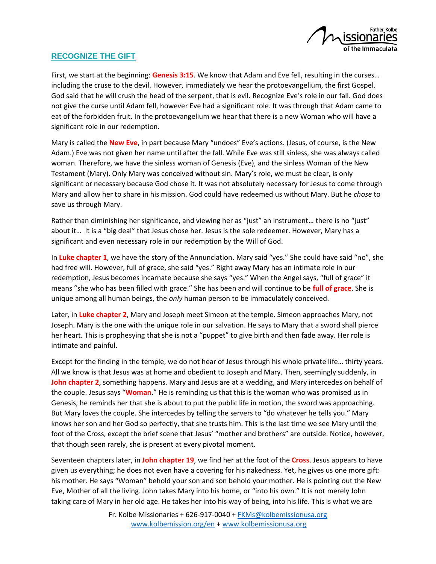

## **RECOGNIZE THE GIFT**

First, we start at the beginning: **Genesis 3:15**. We know that Adam and Eve fell, resulting in the curses… including the cruse to the devil. However, immediately we hear the protoevangelium, the first Gospel. God said that he will crush the head of the serpent, that is evil. Recognize Eve's role in our fall. God does not give the curse until Adam fell, however Eve had a significant role. It was through that Adam came to eat of the forbidden fruit. In the protoevangelium we hear that there is a new Woman who will have a significant role in our redemption.

Mary is called the **New Eve**, in part because Mary "undoes" Eve's actions. (Jesus, of course, is the New Adam.) Eve was not given her name until after the fall. While Eve was still sinless, she was always called woman. Therefore, we have the sinless woman of Genesis (Eve), and the sinless Woman of the New Testament (Mary). Only Mary was conceived without sin. Mary's role, we must be clear, is only significant or necessary because God chose it. It was not absolutely necessary for Jesus to come through Mary and allow her to share in his mission. God could have redeemed us without Mary. But he *chose* to save us through Mary.

Rather than diminishing her significance, and viewing her as "just" an instrument… there is no "just" about it... It is a "big deal" that Jesus chose her. Jesus is the sole redeemer. However, Mary has a significant and even necessary role in our redemption by the Will of God.

In **Luke chapter 1**, we have the story of the Annunciation. Mary said "yes." She could have said "no", she had free will. However, full of grace, she said "yes." Right away Mary has an intimate role in our redemption, Jesus becomes incarnate because she says "yes." When the Angel says, "full of grace" it means "she who has been filled with grace." She has been and will continue to be **full of grace**. She is unique among all human beings, the *only* human person to be immaculately conceived.

Later, in **Luke chapter 2**, Mary and Joseph meet Simeon at the temple. Simeon approaches Mary, not Joseph. Mary is the one with the unique role in our salvation. He says to Mary that a sword shall pierce her heart. This is prophesying that she is not a "puppet" to give birth and then fade away. Her role is intimate and painful.

Except for the finding in the temple, we do not hear of Jesus through his whole private life… thirty years. All we know is that Jesus was at home and obedient to Joseph and Mary. Then, seemingly suddenly, in **John chapter 2**, something happens. Mary and Jesus are at a wedding, and Mary intercedes on behalf of the couple. Jesus says "**Woman**." He is reminding us that this is the woman who was promised us in Genesis, he reminds her that she is about to put the public life in motion, the sword was approaching. But Mary loves the couple. She intercedes by telling the servers to "do whatever he tells you." Mary knows her son and her God so perfectly, that she trusts him. This is the last time we see Mary until the foot of the Cross, except the brief scene that Jesus' "mother and brothers" are outside. Notice, however, that though seen rarely, she is present at every pivotal moment.

Seventeen chapters later, in **John chapter 19**, we find her at the foot of the **Cross**. Jesus appears to have given us everything; he does not even have a covering for his nakedness. Yet, he gives us one more gift: his mother. He says "Woman" behold your son and son behold your mother. He is pointing out the New Eve, Mother of all the living. John takes Mary into his home, or "into his own." It is not merely John taking care of Mary in her old age. He takes her into his way of being, into his life. This is what we are

> Fr. Kolbe Missionaries + 626-917-0040 + [FKMs@kolbemissionusa.org](mailto:FKMs@kolbemissionusa.org) [www.kolbemission.org/en](http://www.kolbemission.org/en) + [www.kolbemissionusa.org](http://www.kolbemissionusa.org/)